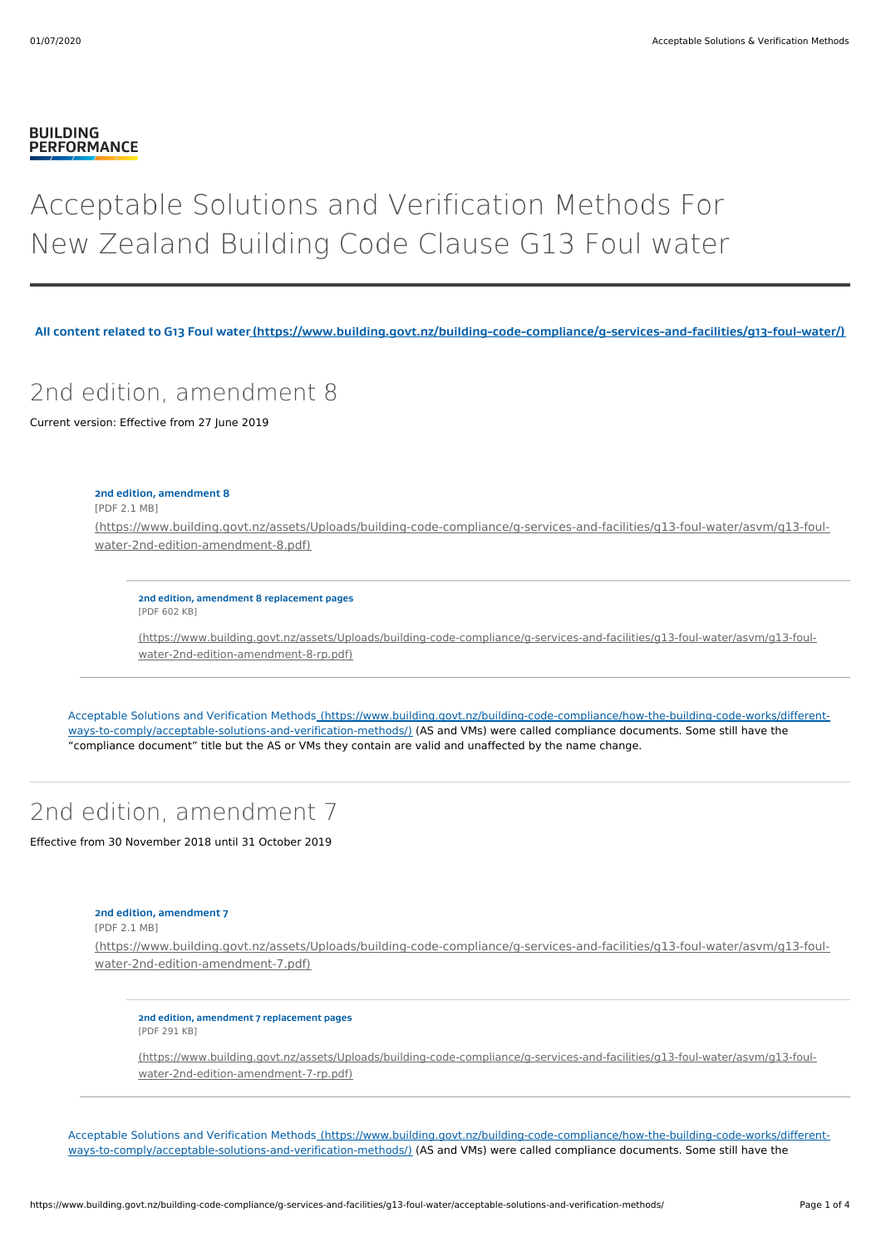### **BUILDING PERFORMANCE**

# Acceptable Solutions and Verification Methods For New Zealand Building Code Clause G13 Foul water

**All content related to G13 Foul [water\(https://www.building.govt.nz/building-code-compliance/g-services-and-facilities/g13-foul-water/\)](https://www.building.govt.nz/building-code-compliance/g-services-and-facilities/g13-foul-water/)**

## 2nd edition, amendment 8

Current version: Effective from 27 June 2019

### **2nd edition, amendment 8**

[PDF 2.1 MB]

[\(https://www.building.govt.nz/assets/Uploads/building-code-compliance/g-services-and-facilities/g13-foul-water/asvm/g13-foul](https://www.building.govt.nz/assets/Uploads/building-code-compliance/g-services-and-facilities/g13-foul-water/asvm/g13-foul-water-2nd-edition-amendment-8.pdf)water-2nd-edition-amendment-8.pdf)

**2nd edition, amendment 8 replacement pages** [PDF 602 KB]

[\(https://www.building.govt.nz/assets/Uploads/building-code-compliance/g-services-and-facilities/g13-foul-water/asvm/g13-foul](https://www.building.govt.nz/assets/Uploads/building-code-compliance/g-services-and-facilities/g13-foul-water/asvm/g13-foul-water-2nd-edition-amendment-8-rp.pdf)water-2nd-edition-amendment-8-rp.pdf)

Acceptable Solutions and Verification Methods [\(https://www.building.govt.nz/building-code-compliance/how-the-building-code-works/different](https://www.building.govt.nz/building-code-compliance/how-the-building-code-works/different-ways-to-comply/acceptable-solutions-and-verification-methods/)ways-to-comply/acceptable-solutions-and-verification-methods/) (AS and VMs) were called compliance documents. Some still have the "compliance document" title but the AS or VMs they contain are valid and unaffected by the name change.

# 2nd edition, amendment 7

Effective from 30 November 2018 until 31 October 2019

### **2nd edition, amendment 7**

[PDF 2.1 MB]

[\(https://www.building.govt.nz/assets/Uploads/building-code-compliance/g-services-and-facilities/g13-foul-water/asvm/g13-foul](https://www.building.govt.nz/assets/Uploads/building-code-compliance/g-services-and-facilities/g13-foul-water/asvm/g13-foul-water-2nd-edition-amendment-7.pdf)water-2nd-edition-amendment-7.pdf)

**2nd edition, amendment 7 replacement pages** [PDF 291 KB]

[\(https://www.building.govt.nz/assets/Uploads/building-code-compliance/g-services-and-facilities/g13-foul-water/asvm/g13-foul](https://www.building.govt.nz/assets/Uploads/building-code-compliance/g-services-and-facilities/g13-foul-water/asvm/g13-foul-water-2nd-edition-amendment-7-rp.pdf)water-2nd-edition-amendment-7-rp.pdf)

Acceptable Solutions and Verification Methods [\(https://www.building.govt.nz/building-code-compliance/how-the-building-code-works/different](https://www.building.govt.nz/building-code-compliance/how-the-building-code-works/different-ways-to-comply/acceptable-solutions-and-verification-methods/)ways-to-comply/acceptable-solutions-and-verification-methods/) (AS and VMs) were called compliance documents. Some still have the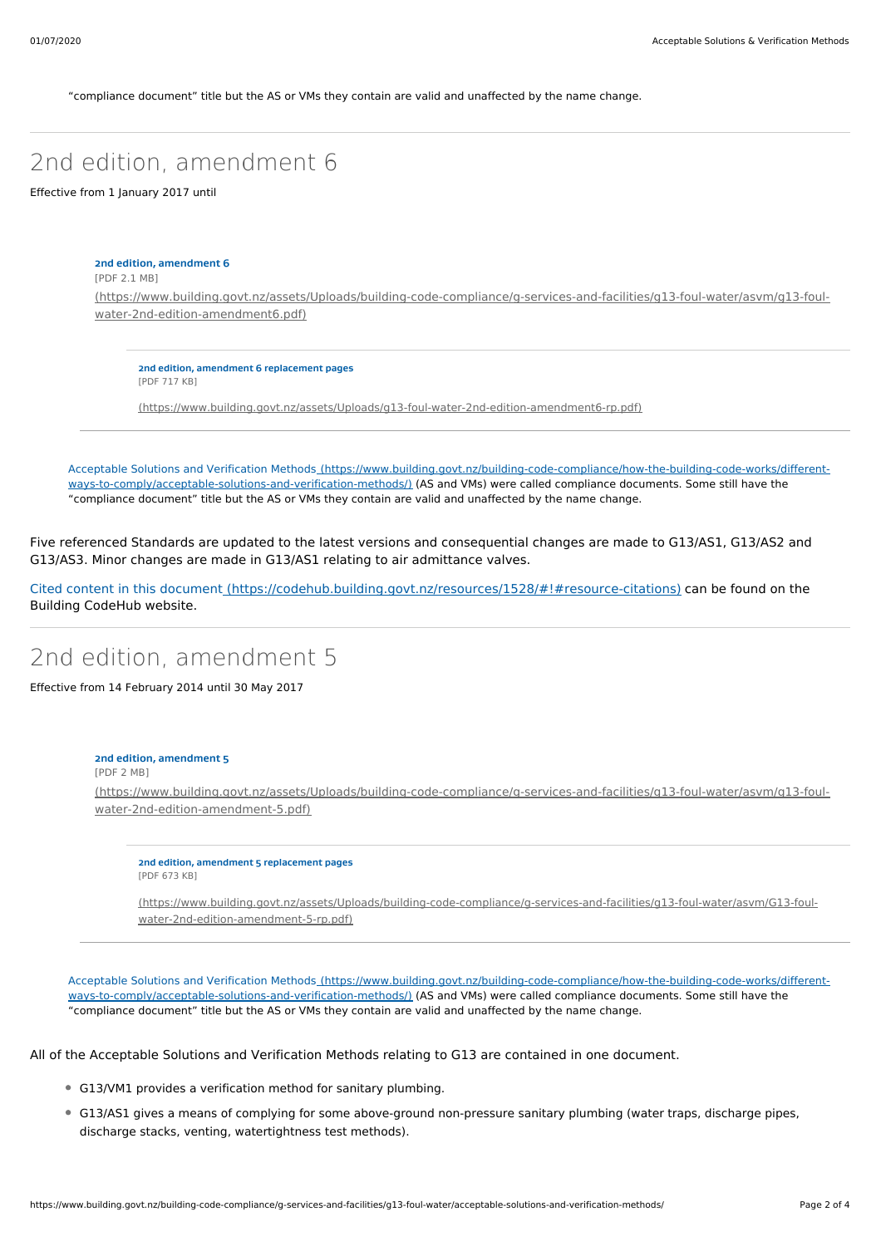"compliance document" title but the AS or VMs they contain are valid and unaffected by the name change.

# 2nd edition, amendment 6

Effective from 1 January 2017 until

**2nd edition, amendment 6** [PDF 2.1 MB] [\(https://www.building.govt.nz/assets/Uploads/building-code-compliance/g-services-and-facilities/g13-foul-water/asvm/g13-foul](https://www.building.govt.nz/assets/Uploads/building-code-compliance/g-services-and-facilities/g13-foul-water/asvm/g13-foul-water-2nd-edition-amendment6.pdf)water-2nd-edition-amendment6.pdf)

**2nd edition, amendment 6 replacement pages** [PDF 717 KB]

[\(https://www.building.govt.nz/assets/Uploads/g13-foul-water-2nd-edition-amendment6-rp.pdf\)](https://www.building.govt.nz/assets/Uploads/g13-foul-water-2nd-edition-amendment6-rp.pdf)

Acceptable Solutions and Verification Methods [\(https://www.building.govt.nz/building-code-compliance/how-the-building-code-works/different](https://www.building.govt.nz/building-code-compliance/how-the-building-code-works/different-ways-to-comply/acceptable-solutions-and-verification-methods/)ways-to-comply/acceptable-solutions-and-verification-methods/) (AS and VMs) were called compliance documents. Some still have the "compliance document" title but the AS or VMs they contain are valid and unaffected by the name change.

Five referenced Standards are updated to the latest versions and consequential changes are made to G13/AS1, G13/AS2 and G13/AS3. Minor changes are made in G13/AS1 relating to air admittance valves.

Cited content in this document [\(https://codehub.building.govt.nz/resources/1528/#!#resource-citations\)](https://codehub.building.govt.nz/resources/1528/#!#resource-citations) can be found on the Building CodeHub website.

### 2nd edition, amendment 5

Effective from 14 February 2014 until 30 May 2017

#### **2nd edition, amendment 5**

[PDF 2 MB]

[\(https://www.building.govt.nz/assets/Uploads/building-code-compliance/g-services-and-facilities/g13-foul-water/asvm/g13-foul](https://www.building.govt.nz/assets/Uploads/building-code-compliance/g-services-and-facilities/g13-foul-water/asvm/g13-foul-water-2nd-edition-amendment-5.pdf)water-2nd-edition-amendment-5.pdf)

**2nd edition, amendment 5 replacement pages** [PDF 673 KB]

[\(https://www.building.govt.nz/assets/Uploads/building-code-compliance/g-services-and-facilities/g13-foul-water/asvm/G13-foul](https://www.building.govt.nz/assets/Uploads/building-code-compliance/g-services-and-facilities/g13-foul-water/asvm/G13-foul-water-2nd-edition-amendment-5-rp.pdf)water-2nd-edition-amendment-5-rp.pdf)

Acceptable Solutions and Verification Methods [\(https://www.building.govt.nz/building-code-compliance/how-the-building-code-works/different](https://www.building.govt.nz/building-code-compliance/how-the-building-code-works/different-ways-to-comply/acceptable-solutions-and-verification-methods/)ways-to-comply/acceptable-solutions-and-verification-methods/) (AS and VMs) were called compliance documents. Some still have the "compliance document" title but the AS or VMs they contain are valid and unaffected by the name change.

All of the Acceptable Solutions and Verification Methods relating to G13 are contained in one document.

- G13/VM1 provides a verification method for sanitary plumbing.
- G13/AS1 gives a means of complying for some above-ground non-pressure sanitary plumbing (water traps, discharge pipes, discharge stacks, venting, watertightness test methods).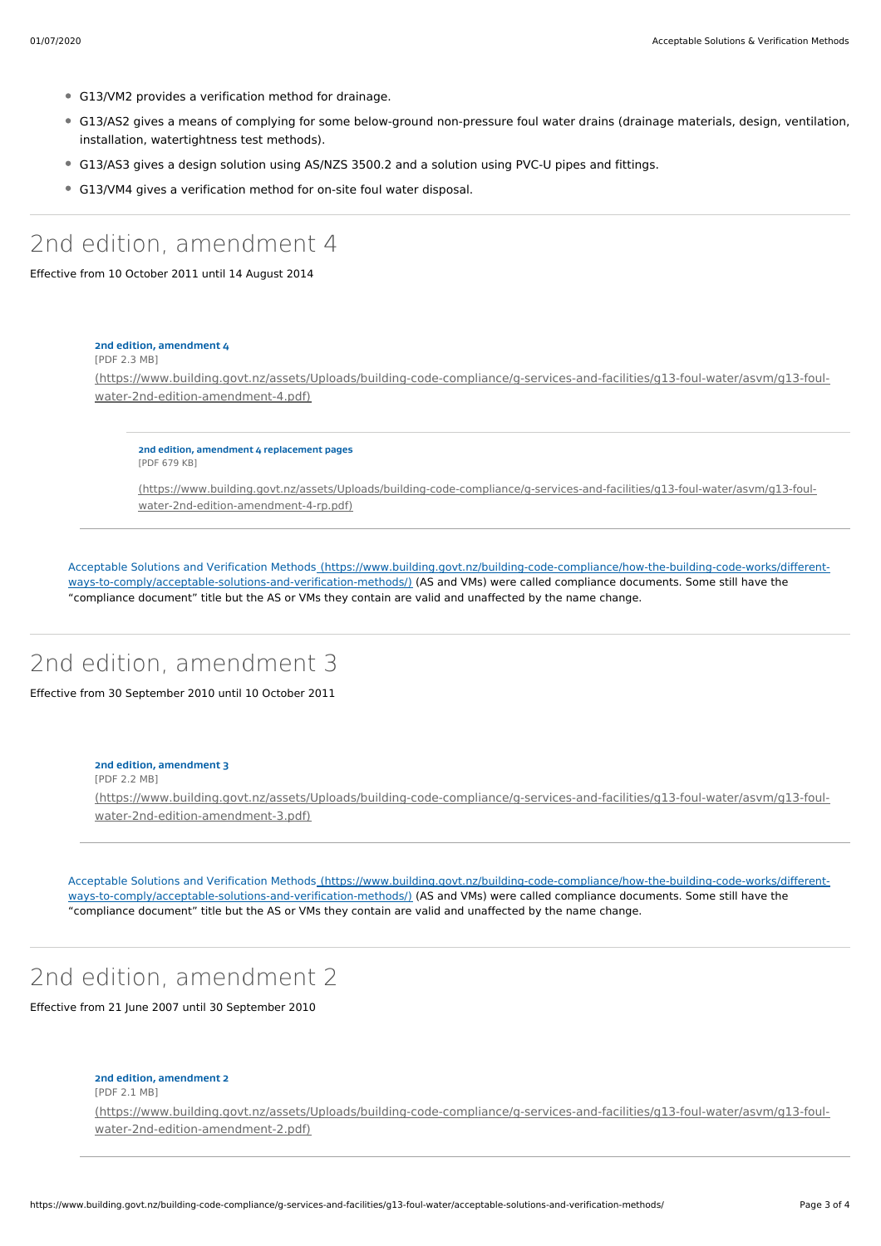- G13/VM2 provides a verification method for drainage.
- G13/AS2 gives a means of complying for some below-ground non-pressure foul water drains (drainage materials, design, ventilation, installation, watertightness test methods).
- G13/AS3 gives a design solution using AS/NZS 3500.2 and a solution using PVC-U pipes and fittings.
- G13/VM4 gives a verification method for on-site foul water disposal.

### 2nd edition, amendment 4

Effective from 10 October 2011 until 14 August 2014

### **2nd edition, amendment 4**

[PDF 2.3 MB]

[\(https://www.building.govt.nz/assets/Uploads/building-code-compliance/g-services-and-facilities/g13-foul-water/asvm/g13-foul](https://www.building.govt.nz/assets/Uploads/building-code-compliance/g-services-and-facilities/g13-foul-water/asvm/g13-foul-water-2nd-edition-amendment-4.pdf)water-2nd-edition-amendment-4.pdf)

**2nd edition, amendment 4 replacement pages** [PDF 679 KB]

[\(https://www.building.govt.nz/assets/Uploads/building-code-compliance/g-services-and-facilities/g13-foul-water/asvm/g13-foul](https://www.building.govt.nz/assets/Uploads/building-code-compliance/g-services-and-facilities/g13-foul-water/asvm/g13-foul-water-2nd-edition-amendment-4-rp.pdf)water-2nd-edition-amendment-4-rp.pdf)

Acceptable Solutions and Verification Methods [\(https://www.building.govt.nz/building-code-compliance/how-the-building-code-works/different](https://www.building.govt.nz/building-code-compliance/how-the-building-code-works/different-ways-to-comply/acceptable-solutions-and-verification-methods/)ways-to-comply/acceptable-solutions-and-verification-methods/) (AS and VMs) were called compliance documents. Some still have the "compliance document" title but the AS or VMs they contain are valid and unaffected by the name change.

# 2nd edition, amendment 3

Effective from 30 September 2010 until 10 October 2011

### **2nd edition, amendment 3**

[PDF 2.2 MB]

[\(https://www.building.govt.nz/assets/Uploads/building-code-compliance/g-services-and-facilities/g13-foul-water/asvm/g13-foul](https://www.building.govt.nz/assets/Uploads/building-code-compliance/g-services-and-facilities/g13-foul-water/asvm/g13-foul-water-2nd-edition-amendment-3.pdf)water-2nd-edition-amendment-3.pdf)

Acceptable Solutions and Verification Methods [\(https://www.building.govt.nz/building-code-compliance/how-the-building-code-works/different](https://www.building.govt.nz/building-code-compliance/how-the-building-code-works/different-ways-to-comply/acceptable-solutions-and-verification-methods/)ways-to-comply/acceptable-solutions-and-verification-methods/) (AS and VMs) were called compliance documents. Some still have the "compliance document" title but the AS or VMs they contain are valid and unaffected by the name change.

# 2nd edition, amendment 2

Effective from 21 June 2007 until 30 September 2010

#### **2nd edition, amendment 2**

[PDF 2.1 MB]

[\(https://www.building.govt.nz/assets/Uploads/building-code-compliance/g-services-and-facilities/g13-foul-water/asvm/g13-foul](https://www.building.govt.nz/assets/Uploads/building-code-compliance/g-services-and-facilities/g13-foul-water/asvm/g13-foul-water-2nd-edition-amendment-2.pdf)water-2nd-edition-amendment-2.pdf)